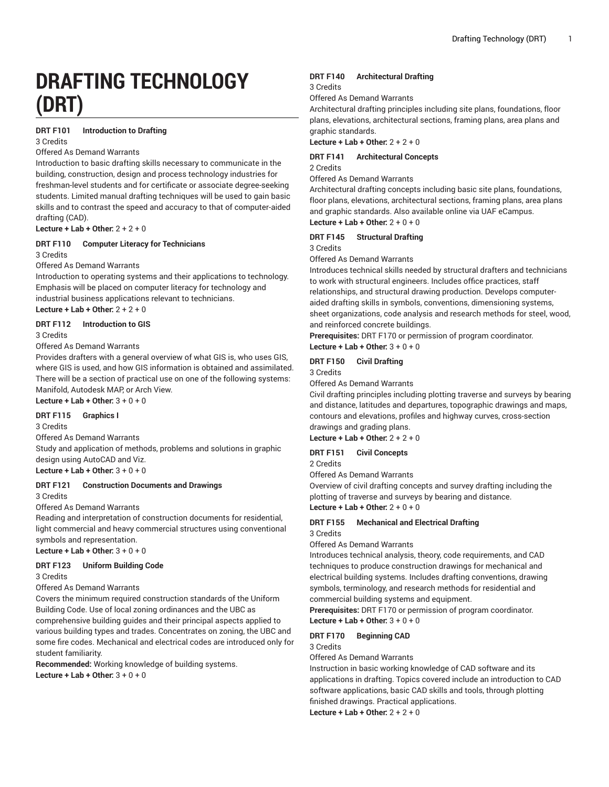# **DRAFTING TECHNOLOGY (DRT)**

#### **DRT F101 Introduction to Drafting**

3 Credits

### Offered As Demand Warrants

Introduction to basic drafting skills necessary to communicate in the building, construction, design and process technology industries for freshman-level students and for certificate or associate degree-seeking students. Limited manual drafting techniques will be used to gain basic skills and to contrast the speed and accuracy to that of computer-aided drafting (CAD).

**Lecture + Lab + Other:** 2 + 2 + 0

#### **DRT F110 Computer Literacy for Technicians**

#### 3 Credits

Offered As Demand Warrants

Introduction to operating systems and their applications to technology. Emphasis will be placed on computer literacy for technology and industrial business applications relevant to technicians.

**Lecture + Lab + Other:** 2 + 2 + 0

**DRT F112 Introduction to GIS**

3 Credits

Offered As Demand Warrants

Provides drafters with a general overview of what GIS is, who uses GIS, where GIS is used, and how GIS information is obtained and assimilated. There will be a section of practical use on one of the following systems: Manifold, Autodesk MAP, or Arch View.

## **Lecture + Lab + Other:** 3 + 0 + 0

## **DRT F115 Graphics I**

3 Credits

Offered As Demand Warrants

Study and application of methods, problems and solutions in graphic design using AutoCAD and Viz.

**Lecture + Lab + Other:** 3 + 0 + 0

### **DRT F121 Construction Documents and Drawings**

3 Credits

Offered As Demand Warrants

Reading and interpretation of construction documents for residential, light commercial and heavy commercial structures using conventional symbols and representation.

**Lecture + Lab + Other:** 3 + 0 + 0

#### **DRT F123 Uniform Building Code**

3 Credits

#### Offered As Demand Warrants

Covers the minimum required construction standards of the Uniform Building Code. Use of local zoning ordinances and the UBC as comprehensive building guides and their principal aspects applied to various building types and trades. Concentrates on zoning, the UBC and some fire codes. Mechanical and electrical codes are introduced only for student familiarity.

**Recommended:** Working knowledge of building systems. **Lecture + Lab + Other:** 3 + 0 + 0

#### **DRT F140 Architectural Drafting**

3 Credits

Offered As Demand Warrants

Architectural drafting principles including site plans, foundations, floor plans, elevations, architectural sections, framing plans, area plans and graphic standards.

**Lecture + Lab + Other:** 2 + 2 + 0

# **DRT F141 Architectural Concepts**

2 Credits

Offered As Demand Warrants

Architectural drafting concepts including basic site plans, foundations, floor plans, elevations, architectural sections, framing plans, area plans and graphic standards. Also available online via UAF eCampus. **Lecture + Lab + Other:** 2 + 0 + 0

#### **DRT F145 Structural Drafting**

3 Credits

Offered As Demand Warrants

Introduces technical skills needed by structural drafters and technicians to work with structural engineers. Includes office practices, staff relationships, and structural drawing production. Develops computeraided drafting skills in symbols, conventions, dimensioning systems, sheet organizations, code analysis and research methods for steel, wood, and reinforced concrete buildings.

**Prerequisites:** DRT F170 or permission of program coordinator. **Lecture + Lab + Other:** 3 + 0 + 0

# **DRT F150 Civil Drafting**

3 Credits

Offered As Demand Warrants

Civil drafting principles including plotting traverse and surveys by bearing and distance, latitudes and departures, topographic drawings and maps, contours and elevations, profiles and highway curves, cross-section drawings and grading plans.

**Lecture + Lab + Other:** 2 + 2 + 0

#### **DRT F151 Civil Concepts**

2 Credits

Offered As Demand Warrants

Overview of civil drafting concepts and survey drafting including the plotting of traverse and surveys by bearing and distance. **Lecture + Lab + Other:** 2 + 0 + 0

**DRT F155 Mechanical and Electrical Drafting** 3 Credits

Offered As Demand Warrants

Introduces technical analysis, theory, code requirements, and CAD techniques to produce construction drawings for mechanical and electrical building systems. Includes drafting conventions, drawing symbols, terminology, and research methods for residential and commercial building systems and equipment.

**Prerequisites:** DRT F170 or permission of program coordinator.

**Lecture + Lab + Other:** 3 + 0 + 0

#### **DRT F170 Beginning CAD**

3 Credits

Offered As Demand Warrants

Instruction in basic working knowledge of CAD software and its applications in drafting. Topics covered include an introduction to CAD software applications, basic CAD skills and tools, through plotting finished drawings. Practical applications.

**Lecture + Lab + Other:** 2 + 2 + 0